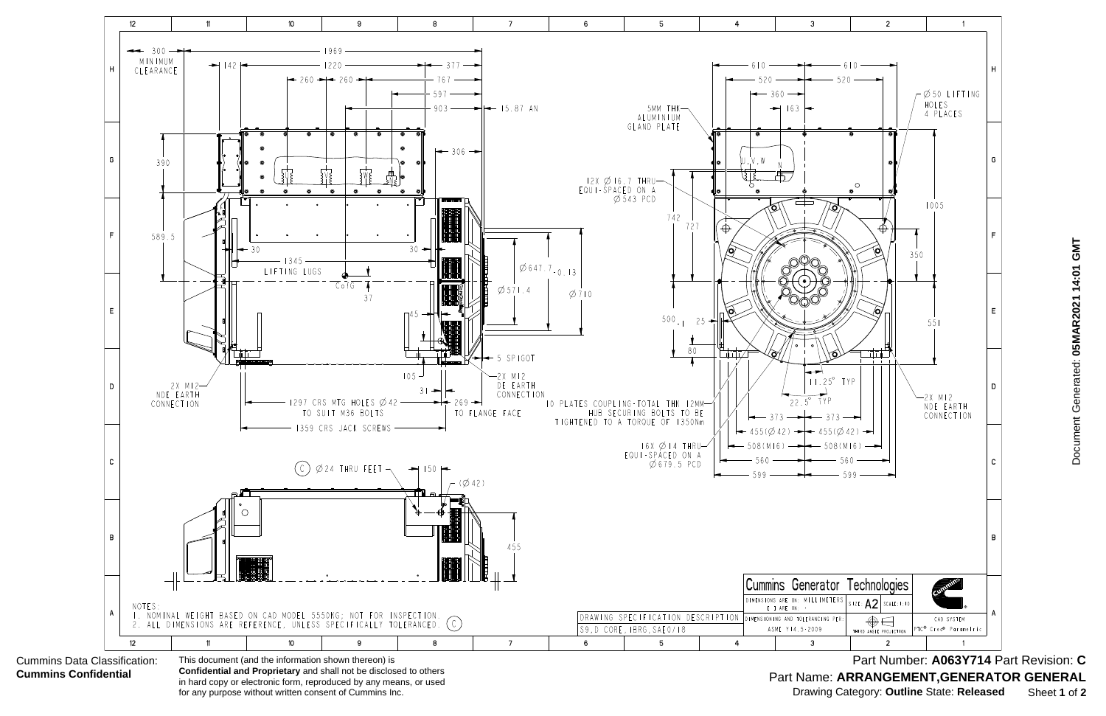

Document Generated: 05MAR2021 14:01 GMT Document Generated: **05MAR2021 14:01 GMT**

Part Name: ARRANGEMENT, GENERATOR GENERAL Part Number: **A063Y714** Part Revision: **C** Drawing Category: **Outline** State: **Released** Sheet **1** of **2**

Cummins Data Classification: **Cummins Confidential**

**Confidential and Proprietary** and shall not be disclosed to others in hard copy or electronic form, reproduced by any means, or used for any purpose without written consent of Cummins Inc.